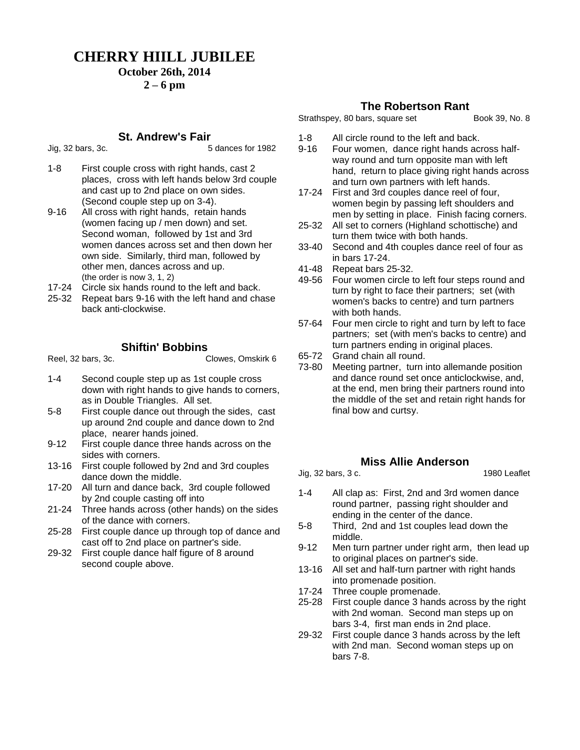## **CHERRY HIILL JUBILEE**

### **October 26th, 2014**

#### **2 – 6 pm**

#### **St. Andrew's Fair**

Jig, 32 bars, 3c. 5 dances for 1982

- 1-8 First couple cross with right hands, cast 2 places, cross with left hands below 3rd couple and cast up to 2nd place on own sides. (Second couple step up on 3-4).
- 9-16 All cross with right hands, retain hands (women facing up / men down) and set. Second woman, followed by 1st and 3rd women dances across set and then down her own side. Similarly, third man, followed by other men, dances across and up. (the order is now 3, 1, 2)
- 17-24 Circle six hands round to the left and back.
- 25-32 Repeat bars 9-16 with the left hand and chase back anti-clockwise.

#### Reel, 32 bars, 3c. Clowes, Omskirk 6

**Shiftin' Bobbins**

- 1-4 Second couple step up as 1st couple cross down with right hands to give hands to corners, as in Double Triangles. All set.
- 5-8 First couple dance out through the sides, cast up around 2nd couple and dance down to 2nd place, nearer hands joined.
- 9-12 First couple dance three hands across on the sides with corners.
- 13-16 First couple followed by 2nd and 3rd couples dance down the middle.
- 17-20 All turn and dance back, 3rd couple followed by 2nd couple casting off into
- 21-24 Three hands across (other hands) on the sides of the dance with corners.
- 25-28 First couple dance up through top of dance and cast off to 2nd place on partner's side.
- 29-32 First couple dance half figure of 8 around second couple above.

#### **The Robertson Rant**

Strathspey, 80 bars, square set Book 39, No. 8

- 1-8 All circle round to the left and back.
- 9-16 Four women, dance right hands across halfway round and turn opposite man with left hand, return to place giving right hands across and turn own partners with left hands.
- 17-24 First and 3rd couples dance reel of four, women begin by passing left shoulders and men by setting in place. Finish facing corners.
- 25-32 All set to corners (Highland schottische) and turn them twice with both hands.
- 33-40 Second and 4th couples dance reel of four as in bars 17-24.
- 41-48 Repeat bars 25-32.
- 49-56 Four women circle to left four steps round and turn by right to face their partners; set (with women's backs to centre) and turn partners with both hands.
- 57-64 Four men circle to right and turn by left to face partners; set (with men's backs to centre) and turn partners ending in original places.
- 65-72 Grand chain all round.
- 73-80 Meeting partner, turn into allemande position and dance round set once anticlockwise, and, at the end, men bring their partners round into the middle of the set and retain right hands for final bow and curtsy.

#### **Miss Allie Anderson**

Jig, 32 bars, 3 c. 1980 Leaflet

- 1-4 All clap as: First, 2nd and 3rd women dance round partner, passing right shoulder and ending in the center of the dance.
- 5-8 Third, 2nd and 1st couples lead down the middle.
- 9-12 Men turn partner under right arm, then lead up to original places on partner's side.
- 13-16 All set and half-turn partner with right hands into promenade position.
- 17-24 Three couple promenade.
- 25-28 First couple dance 3 hands across by the right with 2nd woman. Second man steps up on bars 3-4, first man ends in 2nd place.
- 29-32 First couple dance 3 hands across by the left with 2nd man. Second woman steps up on bars 7-8.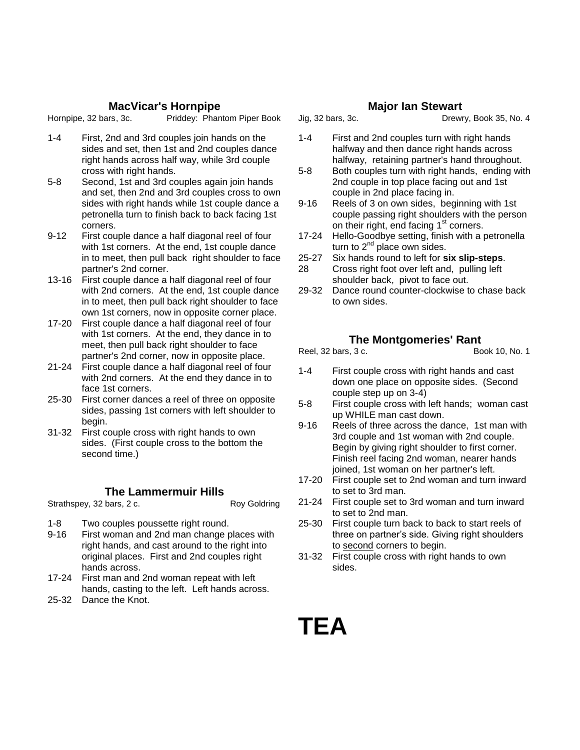#### **MacVicar's Hornpipe**

Hornpipe, 32 bars, 3c. Priddey: Phantom Piper Book

- 1-4 First, 2nd and 3rd couples join hands on the sides and set, then 1st and 2nd couples dance right hands across half way, while 3rd couple cross with right hands.
- 5-8 Second, 1st and 3rd couples again join hands and set, then 2nd and 3rd couples cross to own sides with right hands while 1st couple dance a petronella turn to finish back to back facing 1st corners.
- 9-12 First couple dance a half diagonal reel of four with 1st corners. At the end, 1st couple dance in to meet, then pull back right shoulder to face partner's 2nd corner.
- 13-16 First couple dance a half diagonal reel of four with 2nd corners. At the end, 1st couple dance in to meet, then pull back right shoulder to face own 1st corners, now in opposite corner place.
- 17-20 First couple dance a half diagonal reel of four with 1st corners. At the end, they dance in to meet, then pull back right shoulder to face partner's 2nd corner, now in opposite place.
- 21-24 First couple dance a half diagonal reel of four with 2nd corners. At the end they dance in to face 1st corners.
- 25-30 First corner dances a reel of three on opposite sides, passing 1st corners with left shoulder to begin.
- 31-32 First couple cross with right hands to own sides. (First couple cross to the bottom the second time.)

#### **The Lammermuir Hills**

Strathspey, 32 bars, 2 c. Roy Goldring

- 1-8 Two couples poussette right round.
- 9-16 First woman and 2nd man change places with right hands, and cast around to the right into original places. First and 2nd couples right hands across.
- 17-24 First man and 2nd woman repeat with left hands, casting to the left. Left hands across.
- 25-32 Dance the Knot.

#### **Major Ian Stewart**

Jig, 32 bars, 3c. Drewry, Book 35, No. 4

- 1-4 First and 2nd couples turn with right hands halfway and then dance right hands across halfway, retaining partner's hand throughout.
- 5-8 Both couples turn with right hands, ending with 2nd couple in top place facing out and 1st couple in 2nd place facing in.
- 9-16 Reels of 3 on own sides, beginning with 1st couple passing right shoulders with the person on their right, end facing 1<sup>st</sup> corners.
- 17-24 Hello-Goodbye setting, finish with a petronella turn to  $2^{nd}$  place own sides.
- 25-27 Six hands round to left for **six slip-steps**.
- 28 Cross right foot over left and, pulling left shoulder back, pivot to face out.
- 29-32 Dance round counter-clockwise to chase back to own sides.

#### **The Montgomeries' Rant**

Reel, 32 bars, 3 c. Book 10, No. 1

- 
- 1-4 First couple cross with right hands and cast down one place on opposite sides. (Second couple step up on 3-4)
- 5-8 First couple cross with left hands; woman cast up WHILE man cast down.
- 9-16 Reels of three across the dance, 1st man with 3rd couple and 1st woman with 2nd couple. Begin by giving right shoulder to first corner. Finish reel facing 2nd woman, nearer hands joined, 1st woman on her partner's left.
- 17-20 First couple set to 2nd woman and turn inward to set to 3rd man.
- 21-24 First couple set to 3rd woman and turn inward to set to 2nd man.
- 25-30 First couple turn back to back to start reels of three on partner's side. Giving right shoulders to second corners to begin.
- 31-32 First couple cross with right hands to own sides.

**TEA**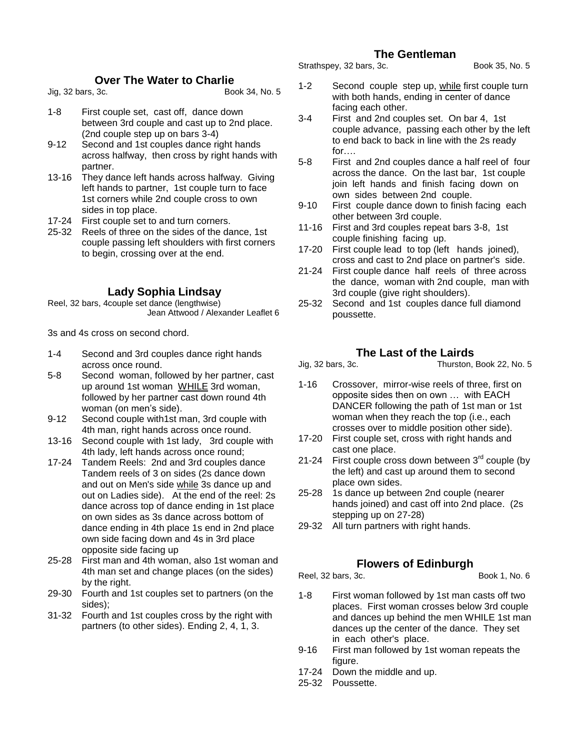#### **The Gentleman**

#### Strathspey, 32 bars, 3c. Book 35, No. 5

#### **Over The Water to Charlie**

Jig, 32 bars, 3c. Book 34, No. 5

- 1-8 First couple set, cast off, dance down between 3rd couple and cast up to 2nd place. (2nd couple step up on bars 3-4)
- 9-12 Second and 1st couples dance right hands across halfway, then cross by right hands with partner.
- 13-16 They dance left hands across halfway. Giving left hands to partner, 1st couple turn to face 1st corners while 2nd couple cross to own sides in top place.
- 17-24 First couple set to and turn corners.
- 25-32 Reels of three on the sides of the dance, 1st couple passing left shoulders with first corners to begin, crossing over at the end.

#### **Lady Sophia Lindsay**

Reel, 32 bars, 4couple set dance (lengthwise) Jean Attwood / Alexander Leaflet 6

3s and 4s cross on second chord.

- 1-4 Second and 3rd couples dance right hands across once round.
- 5-8 Second woman, followed by her partner, cast up around 1st woman WHILE 3rd woman, followed by her partner cast down round 4th woman (on men's side).
- 9-12 Second couple with1st man, 3rd couple with 4th man, right hands across once round.
- 13-16 Second couple with 1st lady, 3rd couple with 4th lady, left hands across once round;
- 17-24 Tandem Reels: 2nd and 3rd couples dance Tandem reels of 3 on sides (2s dance down and out on Men's side while 3s dance up and out on Ladies side). At the end of the reel: 2s dance across top of dance ending in 1st place on own sides as 3s dance across bottom of dance ending in 4th place 1s end in 2nd place own side facing down and 4s in 3rd place opposite side facing up
- 25-28 First man and 4th woman, also 1st woman and 4th man set and change places (on the sides) by the right.
- 29-30 Fourth and 1st couples set to partners (on the sides);
- 31-32 Fourth and 1st couples cross by the right with partners (to other sides). Ending 2, 4, 1, 3.

1-2 Second couple step up, while first couple turn with both hands, ending in center of dance facing each other.

- 3-4 First and 2nd couples set. On bar 4, 1st couple advance, passing each other by the left to end back to back in line with the 2s ready for….
- 5-8 First and 2nd couples dance a half reel of four across the dance. On the last bar, 1st couple join left hands and finish facing down on own sides between 2nd couple.
- 9-10 First couple dance down to finish facing each other between 3rd couple.
- 11-16 First and 3rd couples repeat bars 3-8, 1st couple finishing facing up.
- 17-20 First couple lead to top (left hands joined), cross and cast to 2nd place on partner's side.
- 21-24 First couple dance half reels of three across the dance, woman with 2nd couple, man with 3rd couple (give right shoulders).
- 25-32 Second and 1st couples dance full diamond poussette.

# **The Last of the Lairds**<br>Jig, 32 bars, 3c. Thurston,

Thurston, Book 22, No. 5

- 1-16 Crossover, mirror-wise reels of three, first on opposite sides then on own … with EACH DANCER following the path of 1st man or 1st woman when they reach the top (i.e., each crosses over to middle position other side).
- 17-20 First couple set, cross with right hands and cast one place.
- 21-24 First couple cross down between  $3<sup>rd</sup>$  couple (by the left) and cast up around them to second place own sides.
- 25-28 1s dance up between 2nd couple (nearer hands joined) and cast off into 2nd place. (2s stepping up on 27-28)
- 29-32 All turn partners with right hands.

#### **Flowers of Edinburgh**

Reel, 32 bars, 3c. 6 and 1, No. 6

- 1-8 First woman followed by 1st man casts off two places. First woman crosses below 3rd couple and dances up behind the men WHILE 1st man dances up the center of the dance. They set in each other's place.
- 9-16 First man followed by 1st woman repeats the figure.
- 17-24 Down the middle and up.
- 25-32 Poussette.